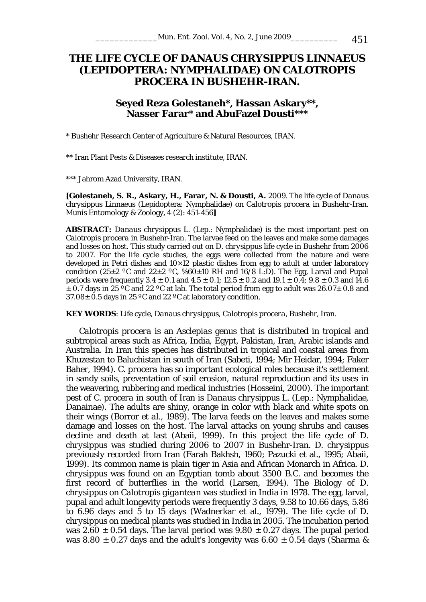# **THE LIFE CYCLE OF** *DANAUS CHRYSIPPUS* **LINNAEUS (LEPIDOPTERA: NYMPHALIDAE) ON** *CALOTROPIS PROCERA* **IN BUSHEHR-IRAN.**

## **Seyed Reza Golestaneh\*, Hassan Askary\*\*, Nasser Farar\* and AbuFazel Dousti\*\*\***

\* Bushehr Research Center of Agriculture & Natural Resources, IRAN.

\*\* Iran Plant Pests & Diseases research institute, IRAN.

\*\*\* Jahrom Azad University, IRAN.

**[Golestaneh, S. R., Askary, H., Farar, N. & Dousti, A.** 2009. The life cycle of *Danaus chrysippus* Linnaeus (Lepidoptera: Nymphalidae) on *Calotropis procera* in Bushehr-Iran. Munis Entomology & Zoology, 4 (2): 451-456**]**

**ABSTRACT:** *Danaus chrysippus* L. (Lep.: Nymphalidae) is the most important pest on *Calotropis procera* in Bushehr-Iran. The larvae feed on the leaves and make some damages and losses on host. This study carried out on *D. chrysippus* life cycle in Bushehr from 2006 to 2007. For the life cycle studies, the eggs were collected from the nature and were developed in Petri dishes and  $10\times12$  plastic dishes from egg to adult at under laboratory condition (25 $\pm$ 2 °C and 22 $\pm$ 2 °C, %60 $\pm$ 10 RH and 16/8 L:D). The Egg, Larval and Pupal periods were frequently  $3.4 \pm 0.1$  and  $4.5 \pm 0.1$ ;  $12.5 \pm 0.2$  and  $19.1 \pm 0.4$ ;  $9.8 \pm 0.3$  and  $14.6$  $\pm$  0.7 days in 25 °C and 22 °C at lab. The total period from egg to adult was 26.07 $\pm$  0.8 and  $37.08\pm0.5$  days in 25 °C and 22 °C at laboratory condition.

**KEY WORDS**: Life cycle, *Danaus chrysippus*, *Calotropis procera*, Bushehr, Iran.

*Calotropis procera* is an *Asclepias* genus that is distributed in tropical and subtropical areas such as Africa, India, Egypt, Pakistan, Iran, Arabic islands and Australia. In Iran this species has distributed in tropical and coastal areas from Khuzestan to Baluchistan in south of Iran (Sabeti, 1994; Mir Heidar, 1994; Faker Baher, 1994). *C. procera* has so important ecological roles because it's settlement in sandy soils, preventation of soil erosion, natural reproduction and its uses in the weavering, rubbering and medical industries (Hosseini, 2000). The important pest of *C. procera* in south of Iran is *Danaus chrysippus* L. (Lep.: Nymphalidae, Danainae). The adults are shiny, orange in color with black and white spots on their wings (Borror *et al*., 1989). The larva feeds on the leaves and makes some damage and losses on the host. The larval attacks on young shrubs and causes decline and death at last (Abaii, 1999). In this project the life cycle of *D. chrysippus* was studied during 2006 to 2007 in Bushehr-Iran. *D. chrysippus* previously recorded from Iran (Farah Bakhsh, 1960; Pazucki et al., 1995; Abaii, 1999). Its common name is plain tiger in Asia and African Monarch in Africa. *D. chrysippus* was found on an Egyptian tomb about 3500 B.C. and becomes the first record of butterflies in the world (Larsen, 1994). The Biology of *D. chrysippus* on *Calotropis gigantean* was studied in India in 1978. The egg, larval, pupal and adult longevity periods were frequently 3 days, 9.58 to 10.66 days, 5.86 to 6.96 days and 5 to 15 days (Wadnerkar et al., 1979). The life cycle of *D. chrysippus* on medical plants was studied in India in 2005. The incubation period was 2.60  $\pm$  0.54 days. The larval period was 9.80  $\pm$  0.27 days. The pupal period was 8.80  $\pm$  0.27 days and the adult's longevity was 6.60  $\pm$  0.54 days (Sharma &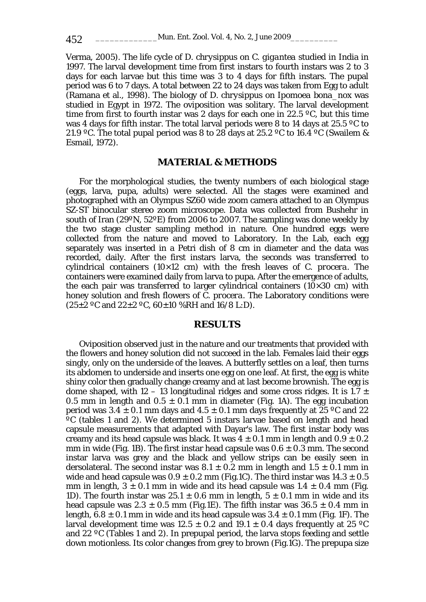Verma, 2005). The life cycle of *D. chrysippus* on *C. gigantea* studied in India in 1997. The larval development time from first instars to fourth instars was 2 to 3 days for each larvae but this time was 3 to 4 days for fifth instars. The pupal period was 6 to 7 days. A total between 22 to 24 days was taken from Egg to adult (Ramana et al., 1998). The biology of *D. chrysippus* on *Ipomoea bona\_nox* was studied in Egypt in 1972. The oviposition was solitary. The larval development time from first to fourth instar was 2 days for each one in 22.5  $\degree$ C, but this time was 4 days for fifth instar. The total larval periods were 8 to 14 days at 25.5 °C to 21.9 °C. The total pupal period was 8 to 28 days at 25.2 °C to 16.4 °C (Swailem & Esmail, 1972).

#### **MATERIAL & METHODS**

For the morphological studies, the twenty numbers of each biological stage (eggs, larva, pupa, adults) were selected. All the stages were examined and photographed with an Olympus SZ60 wide zoom camera attached to an Olympus SZ-ST binocular stereo zoom microscope. Data was collected from Bushehr in south of Iran (29ºN, 52ºE) from 2006 to 2007. The sampling was done weekly by the two stage cluster sampling method in nature. One hundred eggs were collected from the nature and moved to Laboratory. In the Lab, each egg separately was inserted in a Petri dish of 8 cm in diameter and the data was recorded, daily. After the first instars larva, the seconds was transferred to cylindrical containers (10×12 cm) with the fresh leaves of *C. procera*. The containers were examined daily from larva to pupa. After the emergence of adults, the each pair was transferred to larger cylindrical containers  $(10\times30 \text{ cm})$  with honey solution and fresh flowers of *C. procera*. The Laboratory conditions were  $(25\pm2~\text{°C}$  and  $22\pm2~\text{°C}$ ,  $60\pm10~\text{%RH}$  and  $16/8$  L:D).

### **RESULTS**

Oviposition observed just in the nature and our treatments that provided with the flowers and honey solution did not succeed in the lab. Females laid their eggs singly, only on the underside of the leaves. A butterfly settles on a leaf, then turns its abdomen to underside and inserts one egg on one leaf. At first, the egg is white shiny color then gradually change creamy and at last become brownish. The egg is dome shaped, with 12 – 13 longitudinal ridges and some cross ridges. It is 1.7  $\pm$ 0.5 mm in length and  $0.5 \pm 0.1$  mm in diameter (Fig. 1A). The egg incubation period was  $3.4 \pm 0.1$  mm days and  $4.5 \pm 0.1$  mm days frequently at 25 °C and 22  ${}^{\circ}C$  (tables 1 and 2). We determined 5 instars larvae based on length and head capsule measurements that adapted with Dayar's law. The first instar body was creamy and its head capsule was black. It was  $4 \pm 0.1$  mm in length and  $0.9 \pm 0.2$ mm in wide (Fig. 1B). The first instar head capsule was  $0.6 \pm 0.3$  mm. The second instar larva was grey and the black and yellow strips can be easily seen in dersolateral. The second instar was  $8.1 \pm 0.2$  mm in length and  $1.5 \pm 0.1$  mm in wide and head capsule was  $0.9 \pm 0.2$  mm (Fig.1C). The third instar was  $14.3 \pm 0.5$ mm in length,  $3 \pm 0.1$  mm in wide and its head capsule was  $1.4 \pm 0.4$  mm (Fig. 1D). The fourth instar was  $25.1 \pm 0.6$  mm in length,  $5 \pm 0.1$  mm in wide and its head capsule was  $2.3 \pm 0.5$  mm (Fig.1E). The fifth instar was  $36.5 \pm 0.4$  mm in length,  $6.8 \pm 0.1$  mm in wide and its head capsule was  $3.4 \pm 0.1$  mm (Fig. 1F). The larval development time was  $12.5 \pm 0.2$  and  $19.1 \pm 0.4$  days frequently at 25 °C and 22 ºC (Tables 1 and 2). In prepupal period, the larva stops feeding and settle down motionless. Its color changes from grey to brown (Fig.1G). The prepupa size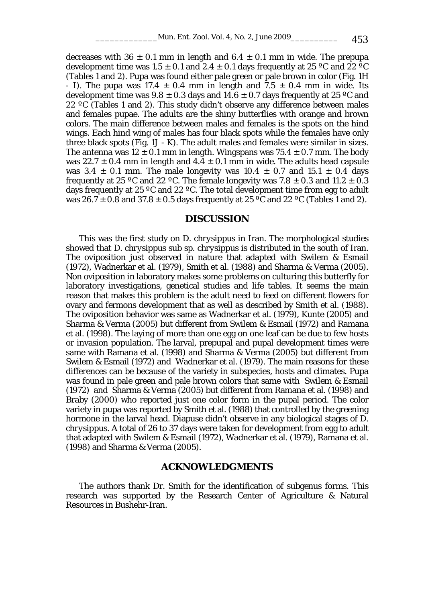decreases with 36  $\pm$  0.1 mm in length and 6.4  $\pm$  0.1 mm in wide. The prepupa development time was 1.5  $\pm$  0.1 and 2.4  $\pm$  0.1 days frequently at 25 °C and 22 °C (Tables 1 and 2). Pupa was found either pale green or pale brown in color (Fig. 1H - I). The pupa was  $17.4 \pm 0.4$  mm in length and  $7.5 \pm 0.4$  mm in wide. Its development time was  $9.8 \pm 0.3$  days and  $14.6 \pm 0.7$  days frequently at 25 °C and 22 ºC (Tables 1 and 2). This study didn't observe any difference between males and females pupae. The adults are the shiny butterflies with orange and brown colors. The main difference between males and females is the spots on the hind wings. Each hind wing of males has four black spots while the females have only three black spots (Fig. 1J - K). The adult males and females were similar in sizes. The antenna was  $12 \pm 0.1$  mm in length. Wingspans was  $75.4 \pm 0.7$  mm. The body was 22.7  $\pm$  0.4 mm in length and 4.4  $\pm$  0.1 mm in wide. The adults head capsule was  $3.4 \pm 0.1$  mm. The male longevity was  $10.4 \pm 0.7$  and  $15.1 \pm 0.4$  days frequently at 25 °C and 22 °C. The female longevity was 7.8  $\pm$  0.3 and 11.2  $\pm$  0.3 days frequently at 25 ºC and 22 ºC. The total development time from egg to adult was  $26.7 \pm 0.8$  and  $37.8 \pm 0.5$  days frequently at  $25\degree$ C and  $22\degree$ C (Tables 1 and 2).

#### **DISCUSSION**

This was the first study on *D. chrysippus* in Iran. The morphological studies showed that *D. chrysippus* sub sp. *chrysippus* is distributed in the south of Iran. The oviposition just observed in nature that adapted with Swilem & Esmail (1972), Wadnerkar et al. (1979), Smith et al. (1988) and Sharma & Verma (2005). Non oviposition in laboratory makes some problems on culturing this butterfly for laboratory investigations, genetical studies and life tables. It seems the main reason that makes this problem is the adult need to feed on different flowers for ovary and fermons development that as well as described by Smith et al. (1988). The oviposition behavior was same as Wadnerkar et al. (1979), Kunte (2005) and Sharma & Verma (2005) but different from Swilem & Esmail (1972) and Ramana et al. (1998). The laying of more than one egg on one leaf can be due to few hosts or invasion population. The larval, prepupal and pupal development times were same with Ramana et al. (1998) and Sharma & Verma (2005) but different from Swilem & Esmail (1972) and Wadnerkar et al. (1979). The main reasons for these differences can be because of the variety in subspecies, hosts and climates. Pupa was found in pale green and pale brown colors that same with Swilem & Esmail (1972) and Sharma & Verma (2005) but different from Ramana et al. (1998) and Braby (2000) who reported just one color form in the pupal period. The color variety in pupa was reported by Smith et al. (1988) that controlled by the greening hormone in the larval head. Diapuse didn't observe in any biological stages of *D. chrysippus*. A total of 26 to 37 days were taken for development from egg to adult that adapted with Swilem & Esmail (1972), Wadnerkar et al. (1979), Ramana et al. (1998) and Sharma & Verma (2005).

#### **ACKNOWLEDGMENTS**

The authors thank Dr. Smith for the identification of subgenus forms. This research was supported by the Research Center of Agriculture & Natural Resources in Bushehr-Iran.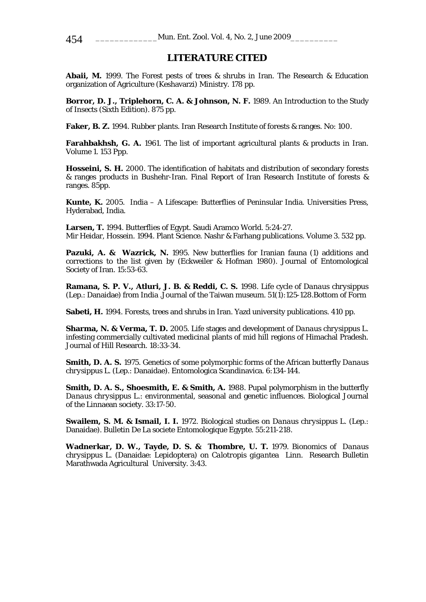## **LITERATURE CITED**

**Abaii, M.** 1999. The Forest pests of trees & shrubs in Iran. The Research & Education organization of Agriculture (Keshavarzi) Ministry. 178 pp.

**Borror, D. J., Triplehorn, C. A. & Johnson, N. F.** 1989. An Introduction to the Study of Insects (Sixth Edition). 875 pp.

**Faker, B. Z.** 1994. Rubber plants. Iran Research Institute of forests & ranges. No: 100.

**Farahbakhsh, G. A.** 1961. The list of important agricultural plants & products in Iran. Volume 1. 153 Ppp.

**Hosseini, S. H.** 2000. The identification of habitats and distribution of secondary forests & ranges products in Bushehr-Iran. Final Report of Iran Research Institute of forests & ranges. 85pp.

**Kunte, K.** 2005. India – A Lifescape: Butterflies of Peninsular India. Universities Press, Hyderabad, India.

**Larsen, T.** 1994. Butterflies of Egypt. Saudi Aramco World. 5:24-27. Mir Heidar, Hossein. 1994. Plant Science. Nashr & Farhang publications. Volume 3. 532 pp.

**Pazuki, A. & Wazrick, N.** 1995. New butterflies for Iranian fauna (1) additions and corrections to the list given by (Eckweiler & Hofman 1980). Journal of Entomological Society of Iran. 15:53-63.

**Ramana, S. P. V., Atluri, J. B. & Reddi, C. S.** 1998. Life cycle of *Danaus chrysippus*  (Lep.: Danaidae) from India .Journal of the Taiwan museum. 51(1):125-128.Bottom of Form

**Sabeti, H.** 1994. Forests, trees and shrubs in Iran. Yazd university publications. 410 pp.

**Sharma, N. & Verma, T. D.** 2005. Life stages and development of *Danaus chrysippus* L. infesting commercially cultivated medicinal plants of mid hill regions of Himachal Pradesh. Journal of Hill Research. 18:33-34.

**Smith, D. A. S.** 1975. Genetics of some polymorphic forms of the African butterfly *Danaus chrysippus* L. (Lep.: Danaidae). Entomologica Scandinavica. 6:134-144.

**Smith, D. A. S., Shoesmith, E. & Smith, A.** 1988. Pupal polymorphism in the butterfly *Danaus chrysippus* L.: environmental, seasonal and genetic influences. Biological Journal of the Linnaean society. 33:17-50.

**Swailem, S. M. & Ismail, I. I.** 1972. Biological studies on *Danaus chrysippus* L. (Lep.: Danaidae). Bulletin De La societe Entomologique Egypte. 55:211-218.

**Wadnerkar, D. W., Tayde, D. S. & Thombre, U. T.** 1979. Bionomics of *Danaus chrysippus* L. (Danaidae: Lepidoptera) on *Calotropis gigantea* Linn. Research Bulletin Marathwada Agricultural University. 3:43.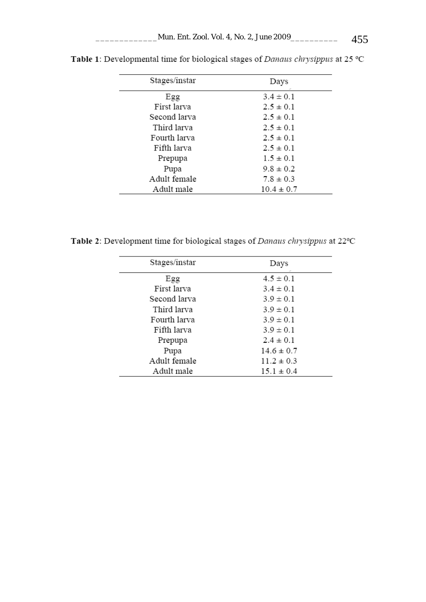| Stages/instar | Days           |
|---------------|----------------|
| Egg           | $3.4 \pm 0.1$  |
| First larva   | $2.5 \pm 0.1$  |
| Second larva  | $2.5 \pm 0.1$  |
| Third larva   | $2.5 \pm 0.1$  |
| Fourth larva  | $2.5 \pm 0.1$  |
| Fifth larva   | $2.5 \pm 0.1$  |
| Prepupa       | $1.5 \pm 0.1$  |
| Pupa          | $9.8 \pm 0.2$  |
| Adult female  | $7.8 \pm 0.3$  |
| Adult male    | $10.4 \pm 0.7$ |

Table 1: Developmental time for biological stages of Danaus chrysippus at 25 °C

Table 2: Development time for biological stages of Danaus chrysippus at 22°C

| Stages/instar | Days           |
|---------------|----------------|
| Egg           | $4.5 \pm 0.1$  |
| First larva   | $3.4 \pm 0.1$  |
| Second larva  | $3.9 \pm 0.1$  |
| Third larva   | $3.9 \pm 0.1$  |
| Fourth larva  | $3.9 \pm 0.1$  |
| Fifth larva   | $3.9 \pm 0.1$  |
| Prepupa       | $2.4 \pm 0.1$  |
| Pupa          | $14.6 \pm 0.7$ |
| Adult female  | $11.2 \pm 0.3$ |
| Adult male    | $15.1 \pm 0.4$ |